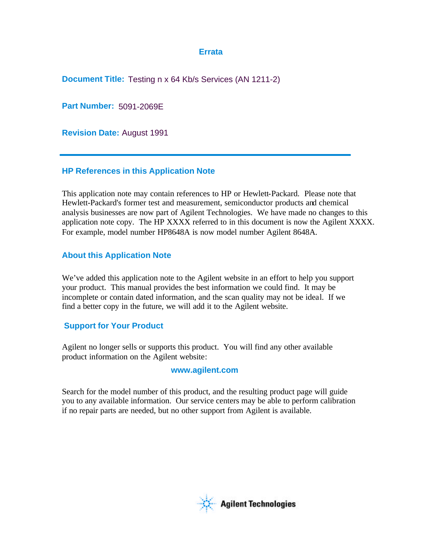## **Errata**

**Document Title:** Testing n x 64 Kb/s Services (AN 1211-2)

**Part Number:** 5091-2069E

**Revision Date:** August 1991

# **HP References in this Application Note**

This application note may contain references to HP or Hewlett-Packard. Please note that Hewlett-Packard's former test and measurement, semiconductor products and chemical analysis businesses are now part of Agilent Technologies. We have made no changes to this application note copy. The HP XXXX referred to in this document is now the Agilent XXXX. For example, model number HP8648A is now model number Agilent 8648A.

# **About this Application Note**

We've added this application note to the Agilent website in an effort to help you support your product. This manual provides the best information we could find. It may be incomplete or contain dated information, and the scan quality may not be ideal. If we find a better copy in the future, we will add it to the Agilent website.

# **Support for Your Product**

Agilent no longer sells or supports this product. You will find any other available product information on the Agilent website:

# **www.agilent.com**

Search for the model number of this product, and the resulting product page will guide you to any available information. Our service centers may be able to perform calibration if no repair parts are needed, but no other support from Agilent is available.

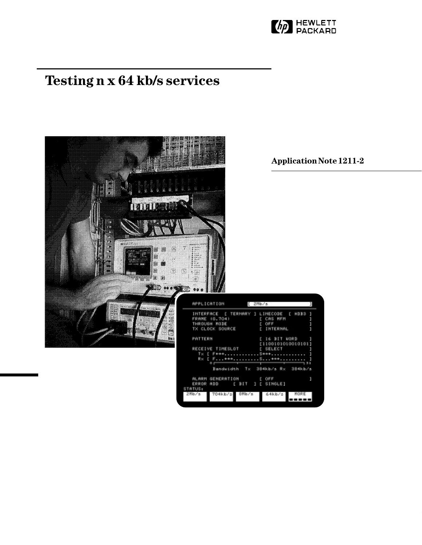

# **Testing n x 64 kb/s services**



**Application Note 1211-2**

384kb/s

**NOKE** 

-----

 $1\stackrel{E}{t}$  SIMGLE]

64kb/s

ALARM GENERATION<br>ERROR ADD [ ]

704kb/:

STATUS:

 $E$  DIT

⊕Mb⁄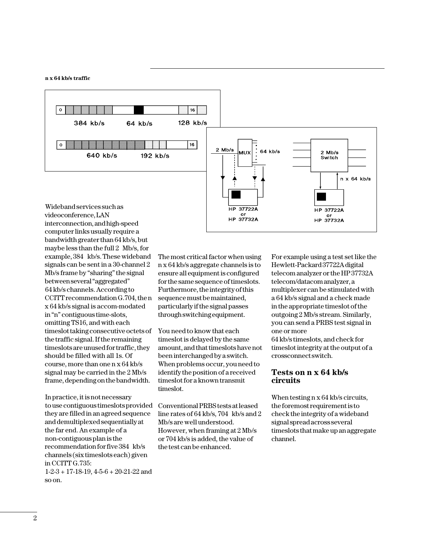

videoconference, LAN interconnection, and high-speed computer links usually require a bandwidth greater than 64 kb/s, but maybe less than the full 2 Mb/s, for example, 384 kb/s. These wideband signals can be sent in a 30-channel 2 Mb/s frame by "sharing" the signal between several "aggregated" 64 kb/s channels. According to CCITT recommendation G.704, the n x 64 kb/s signal is accom-modated in "n" contiguous time-slots, omitting TS16, and with each timeslot taking consecutive octets of the traffic signal. If the remaining timeslots are unused for traffic, they should be filled with all 1s. Of course, more than one n x 64 kb/s signal may be carried in the 2 Mb/s frame, depending on the bandwidth.

**n x 64 kb/s traffic**

In practice, it is not necessary to use contiguous timeslots provided they are filled in an agreed sequence and demultiplexed sequentially at the far end. An example of a non-contiguous plan is the recommendation for five 384 kb/s channels (six timeslots each) given in CCITT G.735:

 $1-2-3+17-18-19$ ,  $4-5-6+20-21-22$  and so on.

The most critical factor when using n x 64 kb/s aggregate channels is to ensure all equipment is configured for the same sequence of timeslots. Furthermore, the integrity of this sequence must be maintained, particularly if the signal passes through switching equipment.

You need to know that each timeslot is delayed by the same amount, and that timeslots have not been interchanged by a switch. When problems occur, you need to identify the position of a received timeslot for a known transmit timeslot.

Conventional PRBS tests at leased line rates of 64 kb/s, 704 kb/s and 2 Mb/s are well understood. However, when framing at 2 Mb/s or 704 kb/s is added, the value of the test can be enhanced.

For example using a test set like the Hewlett-Packard 37722A digital telecom analyzer or the HP 37732A telecom/datacom analyzer, a multiplexer can be stimulated with a 64 kb/s signal and a check made in the appropriate timeslot of the outgoing 2 Mb/s stream. Similarly, you can send a PRBS test signal in one or more

64 kb/s timeslots, and check for timeslot integrity at the output of a crossconnect switch.

## **Tests on n x 64 kb/s circuits**

When testing n x 64 kb/s circuits, the foremost requirement is to check the integrity of a wideband signal spread across several timeslots that make up an aggregate channel.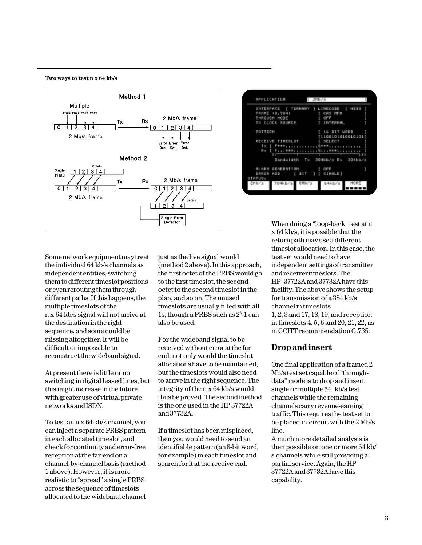## **Two ways to test n x 64 kb/s**



| APPLICATION                                                                                                                                                                                                                          | $L$ 2Hb/s                       |   |
|--------------------------------------------------------------------------------------------------------------------------------------------------------------------------------------------------------------------------------------|---------------------------------|---|
| INTERFACE ( TERNARY ) LINECOSE ( HSSS                                                                                                                                                                                                |                                 |   |
| FRAME (8,704) [ CAS MFM                                                                                                                                                                                                              |                                 |   |
| THROUGH MODE                                                                                                                                                                                                                         | L OFF.                          |   |
| TX CLOCK SOURCE                                                                                                                                                                                                                      | I INTERNAL                      |   |
| PATTERN                                                                                                                                                                                                                              | [ 16 BIT MORE ]                 |   |
|                                                                                                                                                                                                                                      | [1100101010010101]              |   |
| RECEIVE TIMESLOT I SELECT                                                                                                                                                                                                            |                                 |   |
|                                                                                                                                                                                                                                      |                                 |   |
|                                                                                                                                                                                                                                      |                                 |   |
| <u>Of the company's company's company's company's company's company's company's company's company's company's company's company's company's company's company's company's company's company's company's company's company's comp</u> |                                 |   |
|                                                                                                                                                                                                                                      | Banduidth Tx 394kb/s Rx 394kb/s |   |
| ALARM GENERATION . [ OFF                                                                                                                                                                                                             |                                 | л |
| ERROR NOD   SIT     SINGLE]                                                                                                                                                                                                          |                                 |   |
| STATUS:                                                                                                                                                                                                                              |                                 |   |
| 2Mb/s 704kb/s 8Mb/s                                                                                                                                                                                                                  | 64kb/s MORE                     |   |
|                                                                                                                                                                                                                                      |                                 |   |

Some network equipment may treat the individual 64 kb/s channels as independent entities, switching them to different timeslot positions or even rerouting them through different paths. If this happens, the multiple timeslots of the n x 64 kb/s signal will not arrive at the destination in the right sequence, and some could be missing altogether. It will be difficult or impossible to reconstruct the wideband signal.

At present there is little or no switching in digital leased lines, but this might increase in the future with greater use of virtual private networks and ISDN.

To test an n x 64 kb/s channel, you can inject a separate PRBS pattern in each allocated timeslot, and check for continuity and error-free reception at the far-end on a channel-by-channel basis (method 1 above). However, it is more realistic to "spread" a single PRBS across the sequence of timeslots allocated to the wideband channel just as the live signal would (method 2 above). In this approach, the first octet of the PRBS would go to the first timeslot, the second octet to the second timeslot in the plan, and so on. The unused timeslots are usually filled with all 1s, though a PRBS such as 26 -1 can also be used.

For the wideband signal to be received without error at the far end, not only would the timeslot allocations have to be maintained, but the timeslots would also need to arrive in the right sequence. The integrity of the n x 64 kb/s would thus be proved. The second method is the one used in the HP 37722A and 37732A.

If a timeslot has been misplaced, then you would need to send an identifiable pattern (an 8-bit word, for example) in each timeslot and search for it at the receive end.

When doing a "loop-back" test at n x 64 kb/s, it is possible that the return path may use a different timeslot allocation. In this case, the test set would need to have independent settings of transmitter and receiver timeslots. The HP 37722A and 37732A have this facility. The above shows the setup for transmission of a 384 kb/s channel in timeslots 1, 2, 3 and 17, 18, 19, and reception in timeslots 4, 5, 6 and 20, 21, 22, as in CCITT recommendation G.735.

## **Drop and insert**

One final application of a framed 2 Mb/s test set capable of "throughdata" mode is to drop and insert single or multiple 64 kb/s test channels while the remaining channels carry revenue-earning traffic. This requires the test set to be placed in-circuit with the 2 Mb/s line.

A much more detailed analysis is then possible on one or more 64 kb/ s channels while still providing a partial service. Again, the HP 37722A and 37732A have this capability.